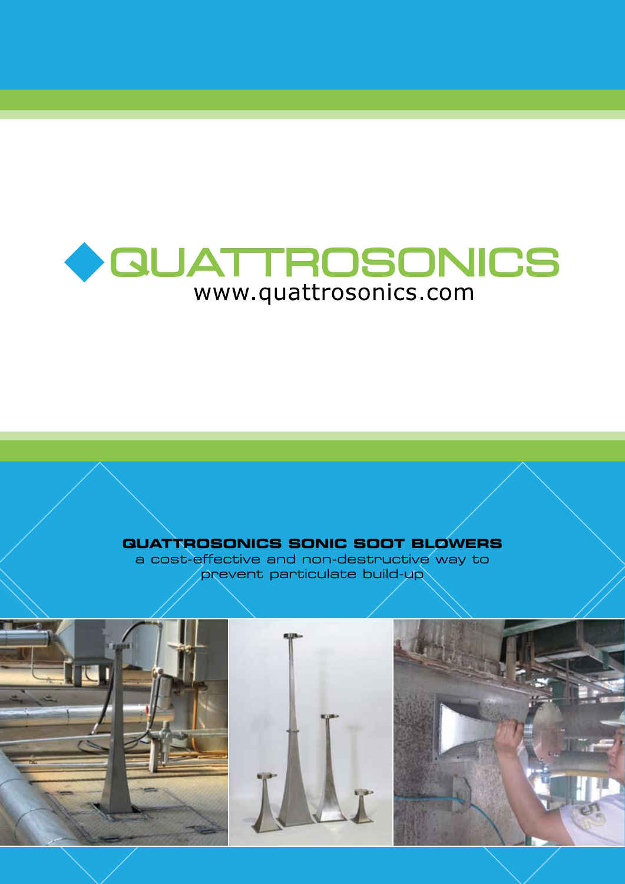

# **QUATTROSONICS SONIC SOOT BLOWERS**

a cost-effective and non-destructive way to prevent particulate build-up

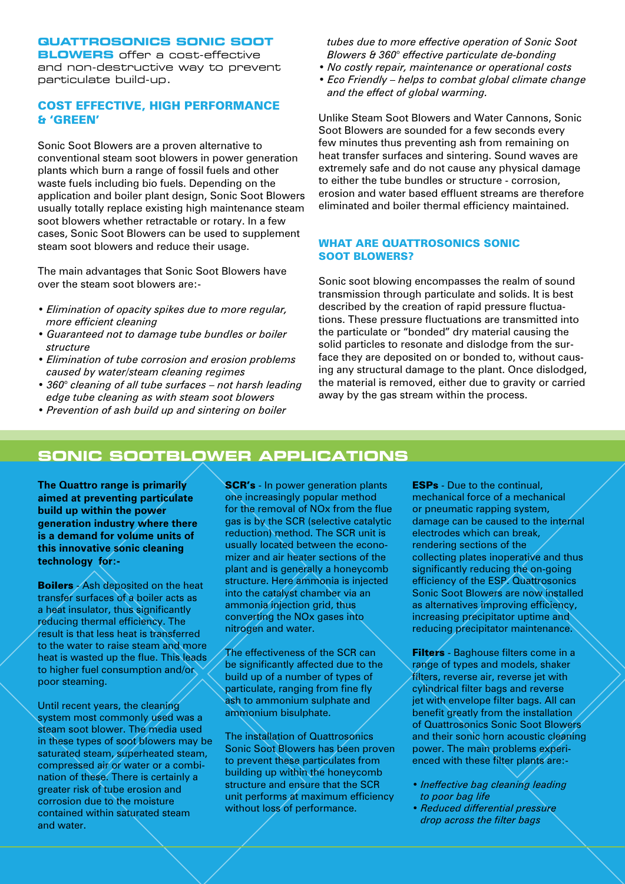### **QUATTROSONICS SONIC SOOT**

**BLOWERS** offer a cost-effective and non-destructive way to prevent particulate build-up.

# COST EFFECTIVE, HIGH PERFORMANCE & 'GREEN'

Sonic Soot Blowers are a proven alternative to conventional steam soot blowers in power generation plants which burn a range of fossil fuels and other waste fuels including bio fuels. Depending on the application and boiler plant design, Sonic Soot Blowers usually totally replace existing high maintenance steam soot blowers whether retractable or rotary. In a few cases, Sonic Soot Blowers can be used to supplement steam soot blowers and reduce their usage.

The main advantages that Sonic Soot Blowers have over the steam soot blowers are:-

- *Elimination of opacity spikes due to more regular, more efficient cleaning*
- *Guaranteed not to damage tube bundles or boiler structure*
- *Elimination of tube corrosion and erosion problems caused by water/steam cleaning regimes*
- *360° cleaning of all tube surfaces not harsh leading edge tube cleaning as with steam soot blowers*
- *Prevention of ash build up and sintering on boiler*

 *tubes due to more effective operation of Sonic Soot Blowers & 360° effective particulate de-bonding*

- *No costly repair, maintenance or operational costs*
- *Eco Friendly helps to combat global climate change and the effect of global warming.*

Unlike Steam Soot Blowers and Water Cannons, Sonic Soot Blowers are sounded for a few seconds every few minutes thus preventing ash from remaining on heat transfer surfaces and sintering. Sound waves are extremely safe and do not cause any physical damage to either the tube bundles or structure - corrosion, erosion and water based effluent streams are therefore eliminated and boiler thermal efficiency maintained.

## WHAT ARE QUATTROSONICS SONIC SOOT BLOWERS?

Sonic soot blowing encompasses the realm of sound transmission through particulate and solids. It is best described by the creation of rapid pressure fluctuations. These pressure fluctuations are transmitted into the particulate or "bonded" dry material causing the solid particles to resonate and dislodge from the surface they are deposited on or bonded to, without causing any structural damage to the plant. Once dislodged, the material is removed, either due to gravity or carried away by the gas stream within the process.

# **SONIC SOOTBLOWER APPLICATIONS**

**The Quattro range is primarily aimed at preventing particulate build up within the power generation industry where there is a demand for volume units of this innovative sonic cleaning technology for:-**

**Boilers** - Ash deposited on the heat transfer surfaces of a boiler acts as a heat insulator, thus significantly reducing thermal efficiency. The result is that less heat is transferred to the water to raise steam and more heat is wasted up the flue. This leads to higher fuel consumption and/or poor steaming.

Until recent years, the cleaning system most commonly used was a steam soot blower. The media used in these types of soot blowers may be saturated steam, superheated steam, compressed air or water or a combination of these. There is certainly a greater risk of tube erosion and corrosion due to the moisture contained within saturated steam and water.

**SCR's** - In power generation plants one increasingly popular method for the removal of NOx from the flue gas is by the SCR (selective catalytic reduction) method. The SCR unit is usually located between the economizer and air heater sections of the plant and is generally a honeycomb structure. Here ammonia is injected into the catalyst chamber via an ammonia injection grid, thus converting the NOx gases into nitrogen and water.

The effectiveness of the SCR can be significantly affected due to the build up of a number of types of particulate, ranging from fine fly ash to ammonium sulphate and ammonium bisulphate.

The installation of Quattrosonics Sonic Soot Blowers has been proven to prevent these particulates from building up within the honeycomb structure and ensure that the SCR unit performs at maximum efficiency without loss of performance.

ESPs - Due to the continual, mechanical force of a mechanical or pneumatic rapping system, damage can be caused to the internal electrodes which can break, rendering sections of the collecting plates inoperative and thus significantly reducing the on-going efficiency of the ESP. Quattrosonics Sonic Soot Blowers are now installed as alternatives improving efficiency, increasing precipitator uptime and reducing precipitator maintenance.

**Filters** - Baghouse filters come in a range of types and models, shaker filters, reverse air, reverse jet with cylindrical filter bags and reverse jet with envelope filter bags. All can benefit greatly from the installation of Quattrosonics Sonic Soot Blowers and their sonic horn acoustic cleaning power. The main problems experienced with these filter plants are:-

- *Ineffective bag cleaning leading to poor bag life*
- *Reduced differential pressure drop across the filter bags*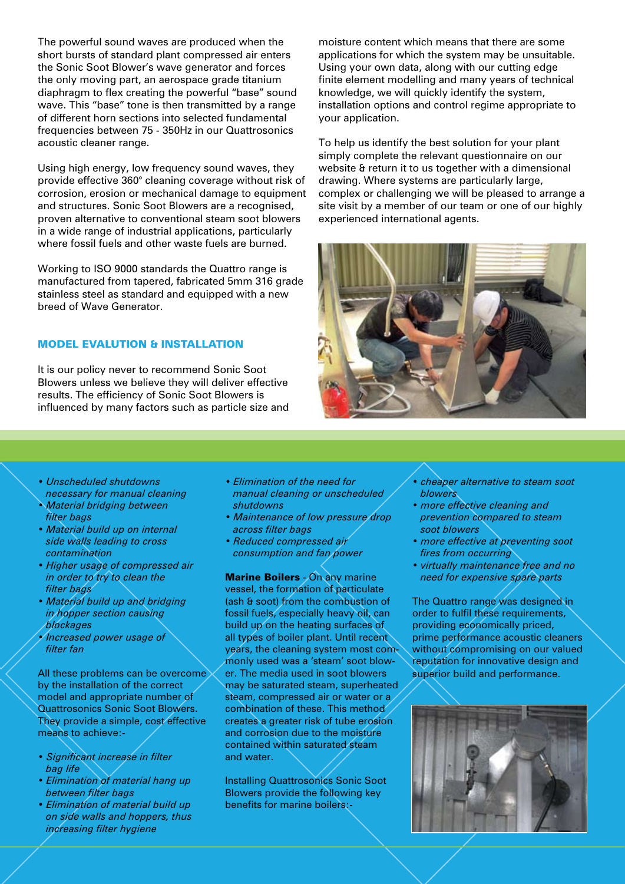The powerful sound waves are produced when the short bursts of standard plant compressed air enters the Sonic Soot Blower's wave generator and forces the only moving part, an aerospace grade titanium diaphragm to flex creating the powerful "base" sound wave. This "base" tone is then transmitted by a range of different horn sections into selected fundamental frequencies between 75 - 350Hz in our Quattrosonics acoustic cleaner range.

Using high energy, low frequency sound waves, they provide effective 360° cleaning coverage without risk of corrosion, erosion or mechanical damage to equipment and structures. Sonic Soot Blowers are a recognised, proven alternative to conventional steam soot blowers in a wide range of industrial applications, particularly where fossil fuels and other waste fuels are burned.

Working to ISO 9000 standards the Quattro range is manufactured from tapered, fabricated 5mm 316 grade stainless steel as standard and equipped with a new breed of Wave Generator.

### MODEL EVALUTION & INSTALLATION

It is our policy never to recommend Sonic Soot Blowers unless we believe they will deliver effective results. The efficiency of Sonic Soot Blowers is influenced by many factors such as particle size and moisture content which means that there are some applications for which the system may be unsuitable. Using your own data, along with our cutting edge finite element modelling and many years of technical knowledge, we will quickly identify the system, installation options and control regime appropriate to your application.

To help us identify the best solution for your plant simply complete the relevant questionnaire on our website & return it to us together with a dimensional drawing. Where systems are particularly large, complex or challenging we will be pleased to arrange a site visit by a member of our team or one of our highly experienced international agents.



- *Unscheduled shutdowns necessary for manual cleaning*
- *Material bridging between filter bags*
- *Material build up on internal side walls leading to cross contamination*
- *Higher usage of compressed air in order to try to clean the filter bags*
- *Material build up and bridging in hopper section causing blockages*
- *Increased power usage of filter fan*

All these problems can be overcome by the installation of the correct model and appropriate number of Quattrosonics Sonic Soot Blowers. They provide a simple, cost effective means to achieve:-

- *Significant increase in filter bag life*
- *Elimination of material hang up between filter bags*
- *Elimination of material build up on side walls and hoppers, thus increasing filter hygiene*
- *Elimination of the need for manual cleaning or unscheduled shutdowns*
- *Maintenance of low pressure drop across filter bags*
- *Reduced compressed air consumption and fan power*

**Marine Boilers - On any marine** vessel, the formation of particulate (ash & soot) from the combustion of fossil fuels, especially heavy oil, can build up on the heating surfaces of all types of boiler plant. Until recent years, the cleaning system most commonly used was a 'steam' soot blower. The media used in soot blowers may be saturated steam, superheated steam, compressed air or water or a combination of these. This method creates a greater risk of tube erosion and corrosion due to the moisture contained within saturated steam and water.

Installing Quattrosonics Sonic Soot Blowers provide the following key benefits for marine boilers:-

- *cheaper alternative to steam soot blowers*
- *more effective cleaning and prevention compared to steam soot blowers*
- *more effective at preventing soot fires from occurring*
- *virtually maintenance free and no need for expensive spare parts*

The Quattro range was designed in order to fulfil these requirements, providing economically priced, prime performance acoustic cleaners without compromising on our valued reputation for innovative design and superior build and performance.